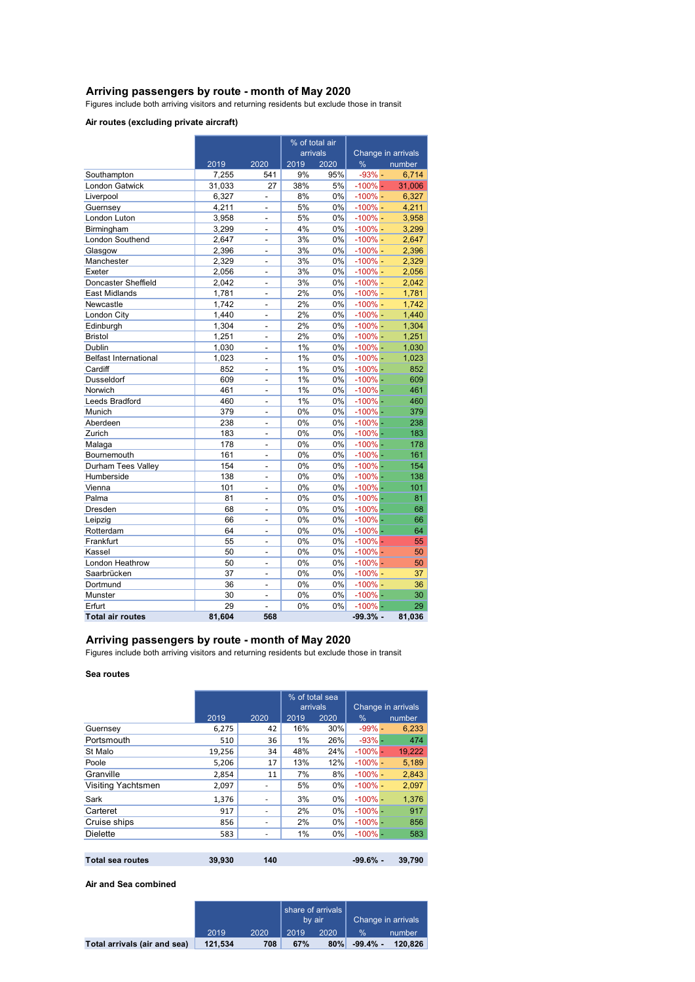### **Arriving passengers by route - month of May 2020**

Figures include both arriving visitors and returning residents but exclude those in transit

### **Air routes (excluding private aircraft)**

|                              |        |                          | % of total air |      |                    |        |
|------------------------------|--------|--------------------------|----------------|------|--------------------|--------|
|                              |        |                          | arrivals       |      | Change in arrivals |        |
|                              | 2019   | 2020                     | 2019           | 2020 | %                  | number |
| Southampton                  | 7,255  | 541                      | 9%             | 95%  | $-93%$ -           | 6,714  |
| <b>London Gatwick</b>        | 31,033 | 27                       | 38%            | 5%   | $-100\%$ -         | 31,006 |
| Liverpool                    | 6,327  | $\overline{a}$           | 8%             | 0%   | $-100\%$ -         | 6,327  |
| Guernsey                     | 4.211  | $\overline{a}$           | 5%             | 0%   | $-100\%$ -         | 4,211  |
| London Luton                 | 3,958  | $\overline{a}$           | 5%             | 0%   | $-100\%$ -         | 3,958  |
| Birmingham                   | 3,299  | $\overline{a}$           | 4%             | 0%   | $-100%$ -          | 3,299  |
| London Southend              | 2,647  | $\overline{a}$           | 3%             | 0%   | $-100\%$ -         | 2,647  |
| Glasgow                      | 2,396  | $\overline{a}$           | 3%             | 0%   | $-100\%$ -         | 2,396  |
| Manchester                   | 2,329  | $\overline{a}$           | 3%             | 0%   | $-100\%$ -         | 2,329  |
| Exeter                       | 2,056  | $\overline{a}$           | 3%             | 0%   | $-100\%$ -         | 2,056  |
| Doncaster Sheffield          | 2,042  |                          | 3%             | 0%   | $-100\%$ -         | 2,042  |
| <b>East Midlands</b>         | 1,781  | $\overline{a}$           | 2%             | 0%   | $-100\%$ -         | 1,781  |
| Newcastle                    | 1,742  | $\overline{a}$           | 2%             | 0%   | $-100%$ -          | 1,742  |
| London City                  | 1,440  | $\overline{a}$           | 2%             | 0%   | $-100\%$ -         | 1,440  |
| Edinburgh                    | 1,304  | $\overline{a}$           | 2%             | 0%   | $-100\%$ -         | 1,304  |
| <b>Bristol</b>               | 1,251  | $\overline{a}$           | 2%             | 0%   | $-100\%$ -         | 1,251  |
| Dublin                       | 1,030  | $\overline{a}$           | 1%             | 0%   | $-100%$ -          | 1,030  |
| <b>Belfast International</b> | 1,023  | $\overline{a}$           | 1%             | 0%   | $-100%$ -          | 1,023  |
| Cardiff                      | 852    | $\overline{a}$           | 1%             | 0%   | $-100\%$ -         | 852    |
| Dusseldorf                   | 609    | $\overline{a}$           | 1%             | 0%   | $-100%$ -          | 609    |
| Norwich                      | 461    | $\overline{a}$           | 1%             | 0%   | $-100\%$ -         | 461    |
| Leeds Bradford               | 460    | $\overline{a}$           | 1%             | 0%   | $-100\%$ -         | 460    |
| Munich                       | 379    | $\overline{a}$           | 0%             | 0%   | $-100%$            | 379    |
| Aberdeen                     | 238    | $\overline{a}$           | 0%             | 0%   | $-100%$ -          | 238    |
| Zurich                       | 183    | $\overline{a}$           | 0%             | 0%   | $-100%$ -          | 183    |
| Malaga                       | 178    | $\overline{a}$           | 0%             | 0%   | $-100\%$ -         | 178    |
| Bournemouth                  | 161    | $\overline{a}$           | 0%             | 0%   | $-100%$ -          | 161    |
| Durham Tees Valley           | 154    | $\overline{a}$           | 0%             | 0%   | $-100\%$ -         | 154    |
| Humberside                   | 138    | $\overline{a}$           | 0%             | 0%   | $-100%$            | 138    |
| Vienna                       | 101    | $\overline{a}$           | 0%             | 0%   | $-100%$ -          | 101    |
| Palma                        | 81     | $\overline{a}$           | 0%             | 0%   | $-100\%$ -         | 81     |
| Dresden                      | 68     | $\overline{a}$           | 0%             | 0%   | $-100%$            | 68     |
| Leipzig                      | 66     | $\overline{a}$           | 0%             | 0%   | $-100%$ -          | 66     |
| Rotterdam                    | 64     |                          | 0%             | 0%   | $-100%$            | 64     |
| Frankfurt                    | 55     | $\overline{a}$           | 0%             | 0%   | $-100\%$ -         | 55     |
| Kassel                       | 50     | $\overline{\phantom{0}}$ | 0%             | 0%   | $-100\%$ -         | 50     |
| <b>London Heathrow</b>       | 50     |                          | 0%             | 0%   | $-100\%$ -         | 50     |
| Saarbrücken                  | 37     | $\overline{a}$           | 0%             | 0%   | $-100\%$ -         | 37     |
| Dortmund                     | 36     | $\overline{\phantom{0}}$ | 0%             | 0%   | $-100\%$ -         | 36     |
| Munster                      | 30     |                          | 0%             | 0%   | $-100\%$ -         | 30     |
| Erfurt                       | 29     | $\overline{a}$           | 0%             | 0%   | $-100% -$          | 29     |
| <b>Total air routes</b>      | 81,604 | 568                      |                |      | $-99.3%$ -         | 81,036 |

#### **Arriving passengers by route - month of May 2020**

Figures include both arriving visitors and returning residents but exclude those in transit

### **Sea routes**

|                         |        |      | % of total sea<br>arrivals |       |            |                    |
|-------------------------|--------|------|----------------------------|-------|------------|--------------------|
|                         |        |      |                            |       |            | Change in arrivals |
|                         | 2019   | 2020 | 2019                       | 2020  | $\%$       | number             |
| Guernsey                | 6,275  | 42   | 16%                        | 30%   | $-99\%$ -  | 6,233              |
| Portsmouth              | 510    | 36   | 1%                         | 26%   | $-93%$ -   | 474                |
| St Malo                 | 19,256 | 34   | 48%                        | 24%   | $-100\%$ - | 19,222             |
| Poole                   | 5,206  | 17   | 13%                        | 12%   | $-100\%$ - | 5,189              |
| Granville               | 2,854  | 11   | 7%                         | 8%    | $-100\%$ – | 2,843              |
| Visiting Yachtsmen      | 2,097  |      | 5%                         | 0%    | $-100\%$ - | 2,097              |
| Sark                    | 1,376  |      | 3%                         | 0%    | $-100\%$ - | 1.376              |
| Carteret                | 917    |      | 2%                         | 0%    | $-100\%$ - | 917                |
| Cruise ships            | 856    |      | 2%                         | $0\%$ | $-100\%$ - | 856                |
| <b>Dielette</b>         | 583    |      | 1%                         | 0%    | $-100\%$ - | 583                |
|                         |        |      |                            |       |            |                    |
| <b>Total sea routes</b> | 39.930 | 140  |                            |       | $-99.6%$ - | 39.790             |

#### **Air and Sea combined**

|                              |         |      | share of arrivals<br>by air |      | Change in arrivals |         |
|------------------------------|---------|------|-----------------------------|------|--------------------|---------|
|                              | 2019    | 2020 | 2019                        | 2020 | $\frac{1}{2}$      | number  |
| Total arrivals (air and sea) | 121.534 | 708  | 67%                         | 80%  | $-99.4\%$ -        | 120.826 |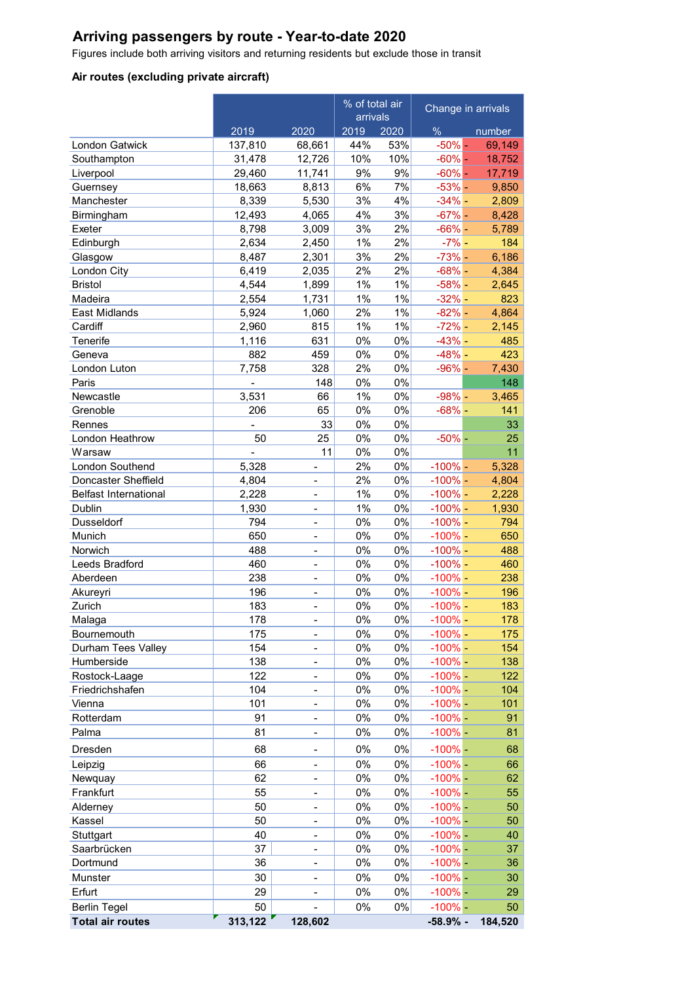# **Arriving passengers by route - Year-to-date 2020**

Figures include both arriving visitors and returning residents but exclude those in transit

# **Air routes (excluding private aircraft)**

|                              |                |                          | % of total air<br>arrivals |       | Change in arrivals |         |
|------------------------------|----------------|--------------------------|----------------------------|-------|--------------------|---------|
|                              | 2019           | 2020                     | 2019                       | 2020  | $\%$               | number  |
| London Gatwick               | 137,810        | 68,661                   | 44%                        | 53%   | $-50\%$ -          | 69,149  |
| Southampton                  | 31,478         | 12,726                   | 10%                        | 10%   | $-60% -$           | 18,752  |
| Liverpool                    | 29,460         | 11,741                   | 9%                         | 9%    | $-60% -$           | 17,719  |
| Guernsey                     | 18,663         | 8,813                    | 6%                         | 7%    | $-53% -$           | 9,850   |
| Manchester                   | 8,339          | 5,530                    | 3%                         | 4%    | $-34%$ -           | 2,809   |
| Birmingham                   | 12,493         | 4,065                    | 4%                         | 3%    | $-67%$ -           | 8,428   |
| Exeter                       | 8,798          | 3,009                    | 3%                         | 2%    | $-66% -$           | 5,789   |
| Edinburgh                    | 2,634          | 2,450                    | 1%                         | 2%    | $-7%$ -            | 184     |
| Glasgow                      | 8,487          | 2,301                    | 3%                         | 2%    | $-73%$ -           | 6,186   |
| London City                  | 6,419          | 2,035                    | 2%                         | 2%    | $-68%$ -           | 4,384   |
| <b>Bristol</b>               | 4,544          | 1,899                    | 1%                         | 1%    | $-58%$ -           | 2,645   |
| Madeira                      | 2,554          | 1,731                    | 1%                         | 1%    | $-32%$ -           | 823     |
| East Midlands                | 5,924          | 1,060                    | 2%                         | 1%    | $-82%$ -           | 4,864   |
| Cardiff                      | 2,960          | 815                      | 1%                         | $1\%$ | $-72%$ -           | 2,145   |
| Tenerife                     | 1,116          | 631                      | 0%                         | $0\%$ | $-43%$ -           | 485     |
| Geneva                       | 882            | 459                      | 0%                         | $0\%$ | $-48%$ -           | 423     |
| London Luton                 | 7.758          | 328                      | 2%                         | $0\%$ | $-96%$             | 7,430   |
| Paris                        | $\overline{a}$ | 148                      | 0%                         | $0\%$ |                    | 148     |
| Newcastle                    | 3,531          | 66                       | 1%                         | $0\%$ | $-98%$ -           | 3,465   |
| Grenoble                     | 206            | 65                       | 0%                         | $0\%$ | $-68%$             | 141     |
| Rennes                       |                | 33                       | 0%                         | $0\%$ |                    | 33      |
| London Heathrow              | 50             | 25                       | 0%                         | $0\%$ | $-50%$ -           | 25      |
| Warsaw                       |                | 11                       | 0%                         | 0%    |                    | 11      |
| London Southend              | 5,328          |                          | 2%                         | $0\%$ | $-100%$ –          | 5,328   |
| Doncaster Sheffield          | 4,804          |                          | 2%                         | $0\%$ | $-100%$ –          | 4,804   |
| <b>Belfast International</b> | 2,228          | $\overline{a}$           | 1%                         | $0\%$ | $-100%$ –          | 2,228   |
| Dublin                       | 1,930          |                          | 1%                         | $0\%$ | $-100\%$ –         | 1,930   |
| Dusseldorf                   | 794            |                          | 0%                         | $0\%$ | $-100\%$ –         | 794     |
| Munich                       | 650            | $\overline{a}$           | 0%                         | $0\%$ | $-100%$            | 650     |
| Norwich                      | 488            | $\overline{\phantom{0}}$ | 0%                         | $0\%$ | $-100\%$ –         | 488     |
| Leeds Bradford               | 460            | $\overline{\phantom{0}}$ | 0%                         | $0\%$ | $-100\%$ –         | 460     |
| Aberdeen                     | 238            | $\overline{a}$           | 0%                         | $0\%$ | $-100%$            | 238     |
| Akureyri                     | 196            | $\overline{a}$           | 0%                         | 0%    | $-100%$            | 196     |
| Zurich                       | 183            | $\overline{a}$           | 0%                         | 0%    | $-100\%$           | 183     |
| Malaga                       | 178            |                          | 0%                         | 0%    | $-100%$ -          | 178     |
| Bournemouth                  | 175            | -                        | 0%                         | 0%    | $-100\%$           | 175     |
| Durham Tees Valley           | 154            |                          | $0\%$                      | $0\%$ | $-100%$            | 154     |
| Humberside                   | 138            | $\overline{\phantom{0}}$ | $0\%$                      | $0\%$ | $-100%$            | 138     |
| Rostock-Laage                | 122            | $\overline{\phantom{0}}$ | $0\%$                      | $0\%$ | $-100%$            | 122     |
| Friedrichshafen              | 104            | $\overline{\phantom{0}}$ | $0\%$                      | $0\%$ | $-100%$            | 104     |
| Vienna                       | 101            | $\overline{\phantom{0}}$ | $0\%$                      | 0%    | $-100%$            | 101     |
| Rotterdam                    | 91             |                          | $0\%$                      | 0%    | $-100%$            | 91      |
| Palma                        | 81             | -                        | 0%                         | 0%    | $-100%$            | 81      |
| Dresden                      | 68             | -                        | 0%                         | 0%    | $-100%$            | 68      |
| Leipzig                      | 66             | -                        | 0%                         | 0%    | $-100%$            | 66      |
| Newquay                      | 62             | -                        | 0%                         | 0%    | $-100%$            | 62      |
| Frankfurt                    | 55             | -                        | 0%                         | 0%    | $-100%$            | 55      |
| Alderney                     | 50             | $\overline{\phantom{0}}$ | 0%                         | 0%    | $-100\%$ -         | 50      |
| Kassel                       | 50             | -                        | 0%                         | $0\%$ | $-100\%$           | 50      |
| Stuttgart                    | 40             | $\overline{\phantom{0}}$ | 0%                         | 0%    | $-100%$            | 40      |
| Saarbrücken                  | 37             | $\overline{\phantom{0}}$ | 0%                         | 0%    | $-100%$            | 37      |
| Dortmund                     | 36             | $\overline{\phantom{0}}$ | 0%                         | 0%    | $-100%$            | 36      |
| Munster                      | 30             | -                        | $0\%$                      | $0\%$ | $-100%$            | 30      |
| Erfurt                       | 29             |                          | 0%                         | $0\%$ | $-100%$            | 29      |
| <b>Berlin Tegel</b>          | 50             |                          | 0%                         | $0\%$ | $-100%$            | 50      |
| <b>Total air routes</b>      | 313,122        | 128,602                  |                            |       | $-58.9%$ -         | 184,520 |